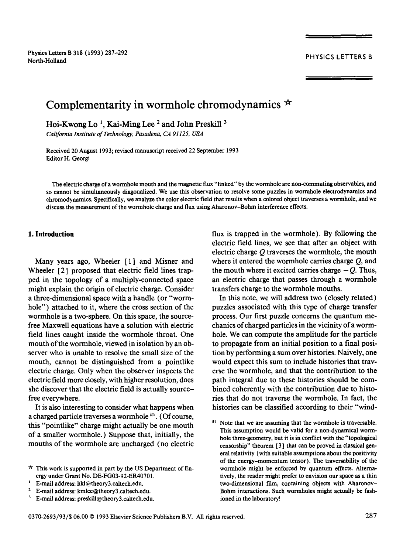Physics Letters B 318 (1993) 287-292 n aysics Letters **D** 310 (1995) 201-292<br>North-Holland

# **Complementarity in wormhole chromodynamics**

Hoi-Kwong Lo<sup>1</sup>, Kai-Ming Lee<sup>2</sup> and John Preskill<sup>3</sup>

*California Institute of Technology, Pasadena, CA 91125, USA* 

Received 20 August 1993; revised manuscript received 22 September 1993 Editor H. Georgi

The electric charge of a wormhole mouth and the magnetic flux "linked" by the wormhole are non-commuting observables, and so cannot be simultaneously diagonalized. We use this observation to resolve some puzzles in wormhole electrodynamics and chromodynamics. Specifically, we analyze the color electric field that results when a colored object traverses a wormhole, and we discuss the measurement of the wormhole charge and flux using Aharonov-Bohm interference effects.

## **1. Introduction**

Many years ago, Wheeler [1] and Misner and Wheeler [2] proposed that electric field lines trapped in the topology of a multiply-connected space might explain the origin of electric charge. Consider a three-dimensional space with a handle (or "wormhole") attached to it, where the cross section of the wormhole is a two-sphere. On this space, the sourcefree Maxwell equations have a solution with electric field lines caught inside the wormhole throat. One mouth of the wormhole, viewed in isolation by an observer who is unable to resolve the small size of the mouth, cannot be distinguished from a pointlike electric charge. Only when the observer inspects the electric field more closely, with higher resolution, does she discover that the electric field is actually sourcefree everywhere.

It is also interesting to consider what happens when a charged particle traverses a wormhole  $*1$ . (Of course, this "pointlike" charge might actually be one mouth of a smaller wormhole.) Suppose that, initially, the mouths of the wormhole are uncharged (no electric

- E-mail address: hkl@theory3.caltech.edu.
- 2 E-mail address: kmlee@theory3.caltech.edu.
- 3 E-mail address: preskill@thcory3.caltech.edu.

flux is trapped in the wormhole). By following the electric field lines, we see that after an object with electric charge Q traverses the wormhole, the mouth where it entered the wormhole carries charge  $Q$ , and the mouth where it excited carries charge  $-Q$ . Thus, an electric charge that passes through a wormhole transfers charge to the wormhole mouths.

In this note, we will address two (closely related) puzzles associated with this type of charge transfer process. Our first puzzle concerns the quantum mechanics of charged particles in the vicinity of a wormhole. We can compute the amplitude for the particle to propagate from an initial position to a final position by performing a sum over histories. Naively, one would expect this sum to include histories that traverse the wormhole, and that the contribution to the path integral due to these histories should be combined coherently with the contribution due to histories that do not traverse the wormhole. In fact, the histories can be classified according to their "wind-

 $\star$  This work is supported in part by the US Department of Energy under Grant No. DE-FG03-92-ER40701.

<sup>&</sup>lt;sup>#1</sup> Note that we are assuming that the wormhole is traversable. This assumption would be valid for a non-dynamical wormhole three-geometry, but it is in conflict with the "topological censorship" theorem [3] that can be proved in classical general relativity (with suitable assumptions about the positivity of the energy-momentum tensor). The traversability of the wormhole might be enforced by quantum effects. Alternatively, the reader might prefer to envision our space as a thin two-dimensional film, containing objects with Aharonov-Bohm interactions. Such wormholes might actually be fashioned in the laboratory!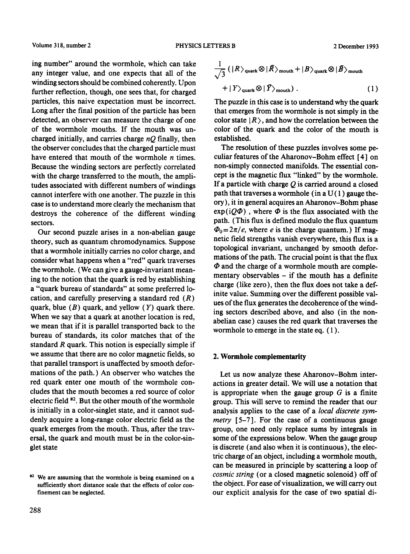ing number" around the wormhole, which can take any integer value, and one expects that all of the winding sectors should be combined coherently. Upon further reflection, though, one sees that, for charged particles, this naive expectation must be incorrect. Long after the final position of the particle has been detected, an observer can measure the charge of one of the wormhole mouths. If the mouth was uncharged initially, and carries charge *nQ* finally, then the observer concludes that the charged particle must have entered that mouth of the wormhole  $n$  times. Because the winding sectors are perfectly correlated with the charge transferred to the mouth, the amplitudes associated with different numbers of windings cannot interfere with one another. The puzzle in this case is to understand more clearly the mechanism that destroys the coherence of the different winding sectors.

Our second puzzle arises in a non-abelian gauge theory, such as quantum chromodynamics. Suppose that a wormhole initially carries no color charge, and consider what happens when a "red" quark traverses the wormhole. (We can give a gauge-invariant meaning to the notion that the quark is red by establishing a "quark bureau of standards" at some preferred location, and carefully preserving a standard red  $(R)$ quark, blue  $(B)$  quark, and yellow  $(Y)$  quark there. When we say that a quark at another location is red, we mean that if it is parallel transported back to the bureau of standards, its color matches that of the standard R quark. This notion is especially simple if we assume that there are no color magnetic fields, so that parallel transport is unaffected by smooth deformations of the path. ) An observer who watches the red quark enter one mouth of the wormhole concludes that the mouth becomes a red source of color electric field  $*2$ . But the other mouth of the wormhole is initially in a color-singlet state, and it cannot suddenly acquire a long-range color electric field as the quark emerges from the mouth. Thus, after the traversal, the quark and mouth must be in the color-singlet state

$$
\frac{1}{\sqrt{3}} (|R\rangle_{\text{quark}} \otimes |\bar{R}\rangle_{\text{mouth}} + |B\rangle_{\text{quark}} \otimes |\bar{B}\rangle_{\text{mouth}} + |Y\rangle_{\text{quark}} \otimes |\bar{Y}\rangle_{\text{mouth}}).
$$
 (1)

The puzzle in this case is to understand why the quark that emerges from the wormhole is not simply in the color state  $\langle R \rangle$ , and how the correlation between the color of the quark and the color of the mouth is established.

The resolution of these puzzles involves some peculiar features of the Aharonov-Bohm effect [ 4 ] on non-simply connected manifolds. The essential conccpt is the magnetic flux "linked" by the wormhole. If a particle with charge  $Q$  is carried around a closed path that traverses a wormhole (in a  $U(1)$  gauge theory), it in general acquires an Aharonov-Bohm phase  $exp(iQ\Phi)$ , where  $\Phi$  is the flux associated with the path. (This flux is defined modulo the flux quantum  $\Phi_0 = 2\pi/e$ , where e is the charge quantum.) If magnetic field strengths vanish everywhere, this flux is a topological invariant, unchanged by smooth deformations of the path. The crucial point is that the flux  $\Phi$  and the charge of a wormhole mouth are complementary observables – if the mouth has a definite charge (like zero), then the flux does not take a definite value. Summing over the different possible values of the flux generates the decoherence of the winding sectors described above, and also (in the nonabelian case) causes the red quark that traverses the wormhole to emerge in the state eq. ( I ).

#### **2. Wormhole complementarity**

Let us now analyze these Aharonov-Bohm interactions in greater detail. We will use a notation that is appropriate when the gauge group  $G$  is a finite group. This will serve to remind the reader that our analysis applies to the case of a *local discrete symmetry* [5-7]. For the case of a continuous gauge group, one need only replace sums by integrals in some of the expressions below. When the gauge group is discrete (and also when it is continuous), the electric charge of an object, including a wormhole mouth, can be measured in principle by scattering a loop of *cosmic string* (or a closed magnetic solenoid) off of the object. For ease of visualization, we will carry out our explicit analysis for the case of two spatial di-

<sup>#2</sup> We are assuming that the wormhole is being examined on a sufficiently short distance scale that the effects of color confinement can be neglected.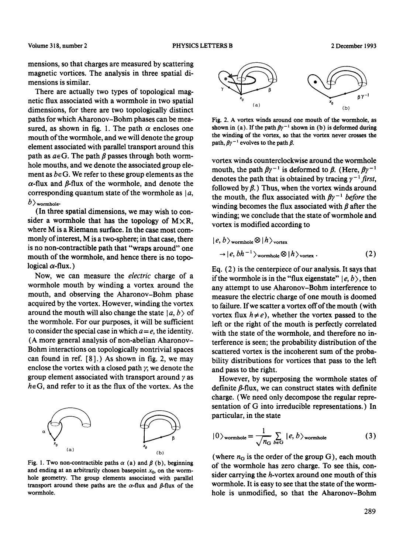mensions, so that charges are measured by scattering magnetic vortices. The analysis in three spatial dimensions is similar.

There are actually two types of topological magnetic flux associated with a wormhole in two spatial dimensions, for there are two topologically distinct paths for which Aharonov-Bohm phases can be measured, as shown in fig. 1. The path  $\alpha$  encloses one mouth of the wormhole, and we will denote the group element associated with parallel transport around this path as  $a \in G$ . The path  $\beta$  passes through both wormhole mouths, and we denote the associated group element as  $b \in G$ . We refer to these group elements as the  $\alpha$ -flux and  $\beta$ -flux of the wormhole, and denote the corresponding quantum state of the wormhole as  $|a|$ ,  $b$  wormhole.

(In three spatial dimensions, we may wish to consider a wormhole that has the topology of  $M \times R$ , where M is a Riemann surface. In the case most commonly of interest, M is a two-sphere; in that case, there is no non-contractible path that "wraps around" one mouth of the wormhole, and hence there is no topological  $\alpha$ -flux.)

Now, we can measure the *electric* charge of a wormhole mouth by winding a vortex around the mouth, and observing the Aharonov-Bohm phase acquired by the vortex. However, winding the vortex around the mouth will also change the state  $|a, b \rangle$  of the wormhole. For our purposes, it will be sufficient to consider the special case in which  $a = e$ , the identity. (A more general analysis of non-abelian Aharonov-Bohm interactions on topologically nontrivial spaces can found in ref. [8].) As shown in fig. 2, we may enclose the vortex with a closed path  $\gamma$ ; we denote the group element associated with transport around  $\gamma$  as  $h \in G$ , and refer to it as the flux of the vortex. As the



Fig. 1. Two non-contractible paths  $\alpha$  (a) and  $\beta$  (b), beginning and ending at an arbitrarily chosen basepoint  $x_0$ , on the wormhole geometry. The group elements associated with parallel transport around these paths are the  $\alpha$ -flux and  $\beta$ -flux of the wormhole.



Fig. 2. A vortex winds around one mouth of the wormhole, as shown in (a). If the path  $\beta\gamma^{-1}$  shown in (b) is deformed during the winding of the vortex, so that the vortex never crosses the path,  $\beta \gamma^{-1}$  evolves to the path  $\beta$ .

vortex winds counterclockwise around the wormhole mouth, the path  $\beta \gamma^{-1}$  is deformed to  $\beta$ . (Here,  $\beta \gamma^{-1}$ denotes the path that is obtained by tracing  $\gamma^{-1}$  first, followed by  $\beta$ .) Thus, when the vortex winds around the mouth, the flux associated with  $\beta\gamma^{-1}$  *before* the winding becomes the flux associated with  $\beta$  after the winding; we conclude that the state of wormhole and vortex is modified according to

$$
\langle e, b \rangle_{\text{wormhole}} \otimes |h \rangle_{\text{vortex}} \rightarrow \langle e, bh^{-1} \rangle_{\text{wormhole}} \otimes |h \rangle_{\text{vortex}}.
$$
\n(2)

Eq. (2) is the centerpiece of our analysis. It says that if the wormhole is in the "flux eigenstate"  $|e, b\rangle$ , then any attempt to use Aharonov-Bohm interference to measure the electric charge of one mouth is doomed to failure. If we scatter a vortex off of the mouth (with vortex flux  $h \neq e$ , whether the vortex passed to the left or the right of the mouth is perfectly correlated with the state of the wormhole, and therefore no interference is seen; the probability distribution of the scattered vortex is the incoherent sum of the probability distributions for vortices that pass to the left and pass to the right.

However, by superposing the wormhole states of definite  $\beta$ -flux, we can construct states with definite charge. (We need only decompose the regular representation of G into irreducible representations.) In particular, in the state

$$
|0\rangle_{\text{wormhole}} = \frac{1}{\sqrt{n_{\text{G}}}} \sum_{b \in \text{G}} |e, b\rangle_{\text{wormhole}}
$$
 (3)

(where  $n_G$  is the order of the group G), each mouth of the wormhole has zero charge. To see this, consider carrying the h-vortex around one mouth of this wormhole. It is easy to see that the state of the wormhole is unmodified, so that the Aharonov-Bohm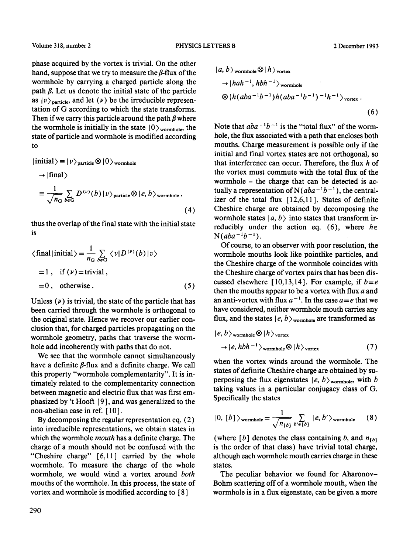phase acquired by the vortex is trivial. On the other hand, suppose that we try to measure the  $\beta$ -flux of the wormhole by carrying a charged particle along the path  $\beta$ . Let us denote the initial state of the particle as  $|v\rangle$ <sub>particle</sub>, and let (v) be the irreducible representation of G according to which the state transforms. Then if we carry this particle around the path  $\beta$  where the wormhole is initially in the state  $|0\rangle$ <sub>wormhole</sub>, the state of particle and wormhole is modified according to

$$
|\text{initial}\rangle \equiv |v\rangle_{\text{particle}} \otimes |0\rangle_{\text{wormhole}}
$$
  
\n
$$
\rightarrow |\text{final}\rangle
$$
  
\n
$$
\equiv \frac{1}{\sqrt{n_{\text{G}}} \sum_{b \in \text{G}} D^{(\nu)}(b) |v\rangle_{\text{particle}} \otimes |e, b\rangle_{\text{wormhole}}},
$$
\n(4)

thus the overlap of the final state with the initial state is

$$
\langle \text{final} | \text{initial} \rangle = \frac{1}{n_{\text{G}}} \sum_{b \in \text{G}} \langle v | D^{(\nu)}(b) | v \rangle
$$
  
= 1, if  $(\nu)$  = trivial,  
= 0, otherwise. (5)

Unless  $(v)$  is trivial, the state of the particle that has been carried through the wormhole is orthogonal to the original state. Hence we recover our earlier conclusion that, for charged particles propagating on the wormhole geometry, paths that traverse the wormhole add incoherently with paths that do not.

We see that the wormhole cannot simultaneously have a definite  $\beta$ -flux and a definite charge. We call this property "wormhole complementarity". It is intimately related to the complementarity connection between magnetic and electric flux that was first emphasized by 't Hooft [ 9 ], and was generalized to the non-abelian case in ref. [10].

By decomposing the regular representation eq. (2) into irreducible representations, we obtain states in which the wormhole *mouth* has a definite charge. The charge of a mouth should not be confused with the "Cheshire charge" [6,11] carried by the whole wormhole. To measure the charge of the whole wormhole, we would wind a vortex around *both*  mouths of the wormhole. In this process, the state of vortex and wormhole is modified according to [ 8 ]

$$
|a, b\rangle_{\text{wormhole}} \otimes |h\rangle_{\text{vortex}}
$$
  
\n
$$
\rightarrow |hah^{-1}, hbh^{-1}\rangle_{\text{wormhole}}
$$
  
\n
$$
\otimes |h(aba^{-1}b^{-1})h(aba^{-1}b^{-1})^{-1}h^{-1}\rangle_{\text{vortex}}.
$$
  
\n(6)

Note that  $aba^{-1}b^{-1}$  is the "total flux" of the wormhole, the flux associated with a path that encloses both mouths. Charge measurement is possible only if the initial and final vortex states are not orthogonal, so that interference can occur. Therefore, the flux  $h$  of the vortex must commute with the total flux of the wormhole - the charge that can be detected is actually a representation of N( $aba^{-1}b^{-1}$ ), the centralizer of the total flux [ 12,6,11 ]. States of definite Cheshire charge are obtained by decomposing the wormhole states  $| a, b \rangle$  into states that transform irreducibly under the action eq. (6), where  $h \in$  $N(aba^{-1}b^{-1}).$ 

Of course, to an observer with poor resolution, the wormhole mouths look like pointlike particles, and the Cheshire charge of the wormhole coincides with the Cheshire charge of vortex pairs that has been discussed elsewhere [10,13,14]. For example, if  $b = e$ then the mouths appear to be a vortex with flux  $a$  and an anti-vortex with flux  $a^{-1}$ . In the case  $a = e$  that we have considered, neither wormhole mouth carries any flux, and the states  $|e, b\rangle$  wormhole are transformed as

$$
|e, b\rangle_{\text{wormhole}} \otimes |h\rangle_{\text{vortex}}
$$
  
\n
$$
\rightarrow |e, hbh^{-1}\rangle_{\text{wormhole}} \otimes |h\rangle_{\text{vortex}}
$$
 (7)

when the vortex winds around the wormhole. The states of definite Cheshire charge are obtained by superposing the flux eigenstates  $|e, b\rangle$ <sub>wormhole</sub>, with b taking values in a particular conjugacy class of G. Specifically the states

$$
|0, [b]\rangle_{\text{wormhole}} = \frac{1}{\sqrt{n_{\{b\}}}} \sum_{b' \in [b]} |e, b'\rangle_{\text{wormhole}} \qquad (8)
$$

(where  $[b]$  denotes the class containing b, and  $n_{\text{th}}$ ) is the order of that class) have trivial total charge, although each wormhole mouth carries charge in these states.

The peculiar behavior we found for Aharonov-Bohm scattering off of a wormhole mouth, when the wormhole is in a flux eigenstate, can be given a more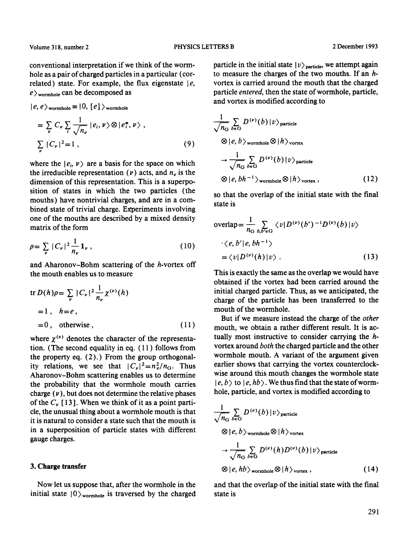conventional interpretation if we think of the wormhole as a pair of charged particles in a particular (correlated) state. For example, the flux eigenstate  $|e|$ ,  $e$ <sub>wormhole</sub> can be decomposed as

$$
|e, e\rangle_{\text{wormhole}} \equiv |0, [e]\rangle_{\text{wormhole}}
$$
  
= 
$$
\sum_{\nu} C_{\nu} \sum_{i} \frac{1}{\sqrt{n_{\nu}}} |e_{i}, \nu\rangle \otimes |e_{i}^{*}, \nu\rangle,
$$
  

$$
\sum_{\nu} |C_{\nu}|^{2} = 1,
$$
 (9)

where the  $|e_i, v\rangle$  are a basis for the space on which the irreducible representation ( $\nu$ ) acts, and  $n_{\nu}$  is the dimension of this representation. This is a superposition of states in which the two particles (the mouths) have nontrivial charges, and are in a combined state of trivial charge. Experiments involving one of the mouths are described by a mixed density matrix of the form

$$
\rho = \sum_{\nu} |C_{\nu}|^2 \frac{1}{n_{\nu}} \mathbf{1}_{\nu}, \qquad (10)
$$

and Aharonov-Bohm scattering of the h-vortex off the mouth enables us to measure

$$
\begin{aligned} \text{tr } D(h)\rho &= \sum_{\nu} |C_{\nu}|^2 \frac{1}{n_{\nu}} \chi^{(\nu)}(h) \\ &= 1 \,, \quad h = e \,, \\ &= 0 \,, \quad \text{otherwise} \,, \end{aligned} \tag{11}
$$

where  $\chi^{(\nu)}$  denotes the character of the representation. (The second equality in eq. ( 11 ) follows from the property eq. (2).) From the group orthogonality relations, we see that  $|C_{\nu}|^2 = n_{\nu}^2/n_{\rm G}$ . Thus Aharonov-Bohm scattering enables us to determine the probability that the wormhole mouth carries charge  $(v)$ , but does not determine the relative phases of the  $C_{\nu}$  [13]. When we think of it as a point particle, the unusual thing about a wormhole mouth is that it is natural to consider a state such that the mouth is in a superposition of particle states with different gauge charges.

### **3. Charge transfer**

Now let us suppose that, after the wormhole in the initial state  $|0\rangle$ <sub>wormhole</sub> is traversed by the charged particle in the initial state  $|v\rangle$ <sub>particle</sub>, we attempt again to measure the charges of the two mouths. If an  $h$ vortex is carried around the mouth that the charged particle *entered,* then the state of wormhole, particle, and vortex is modified according to

$$
\frac{1}{\sqrt{n_{\rm G}}} \sum_{b \in \rm G} D^{(\nu)}(b) | \nu \rangle_{\text{particle}}
$$
\n
$$
\otimes |e, b \rangle_{\text{wormhole}} \otimes |h \rangle_{\text{vortex}}
$$
\n
$$
\rightarrow \frac{1}{\sqrt{n_{\rm G}}} \sum_{b \in \rm G} D^{(\nu)}(b) | \nu \rangle_{\text{particle}}
$$
\n
$$
\otimes |e, bh^{-1} \rangle_{\text{wormhole}} \otimes |h \rangle_{\text{vortex}} , \qquad (12)
$$

so that the overlap of the initial state with the final state is

overlap=
$$
\frac{1}{n_G} \sum_{b,b' \in G} \langle v|D^{(\nu)}(b')^{-1}D^{(\nu)}(b)|v\rangle
$$
  
\n $\langle e, b'|e, bh^{-1}\rangle$   
\n $= \langle v|D^{(\nu)}(h)|v\rangle$ . (13)

This is exactly the same as the overlap we would have obtained if the vortex had been carried around the initial charged particle. Thus, as we anticipated, the charge of the particle has been transferred to the mouth of the wormhole.

But if we measure instead the charge of the *other*  mouth, we obtain a rather different result. It is actually most instructive to consider carrying the hvortex around *both* the charged particle and the other wormhole mouth. A variant of the argument given earlier shows that carrying the vortex counterclockwise around this mouth changes the wormhole state  $\vert e, b \rangle$  to  $\vert e, hb \rangle$ . We thus find that the state of wormhole, particle, and vortex is modified according to

$$
\frac{1}{\sqrt{n_{\rm G}}}\sum_{b\in{\rm G}}D^{(\nu)}(b)|\nu\rangle_{\rm particle}
$$
  

$$
\otimes |e, b\rangle_{\rm wormhole}\otimes|h\rangle_{\rm vortex}
$$
  

$$
\rightarrow \frac{1}{\sqrt{n_{\rm G}}}\sum_{b\in{\rm G}}D^{(\nu)}(h)D^{(\nu)}(b)|\nu\rangle_{\rm particle}
$$
  

$$
\otimes |e, hb\rangle_{\rm wormhole}\otimes|h\rangle_{\rm vortex},
$$
 (14)

and that the overlap of the initial state with the final state is